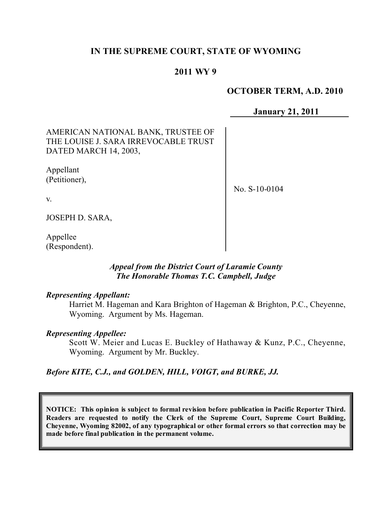# **IN THE SUPREME COURT, STATE OF WYOMING**

## **2011 WY 9**

### **OCTOBER TERM, A.D. 2010**

**January 21, 2011**

AMERICAN NATIONAL BANK, TRUSTEE OF THE LOUISE J. SARA IRREVOCABLE TRUST DATED MARCH 14, 2003,

Appellant (Petitioner),

No. S-10-0104

v.

JOSEPH D. SARA,

Appellee (Respondent).

#### *Appeal from the District Court of Laramie County The Honorable Thomas T.C. Campbell, Judge*

#### *Representing Appellant:*

Harriet M. Hageman and Kara Brighton of Hageman & Brighton, P.C., Cheyenne, Wyoming. Argument by Ms. Hageman.

#### *Representing Appellee:*

Scott W. Meier and Lucas E. Buckley of Hathaway & Kunz, P.C., Cheyenne, Wyoming. Argument by Mr. Buckley.

*Before KITE, C.J., and GOLDEN, HILL, VOIGT, and BURKE, JJ.*

**NOTICE: This opinion is subject to formal revision before publication in Pacific Reporter Third. Readers are requested to notify the Clerk of the Supreme Court, Supreme Court Building, Cheyenne, Wyoming 82002, of any typographical or other formal errors so that correction may be made before final publication in the permanent volume.**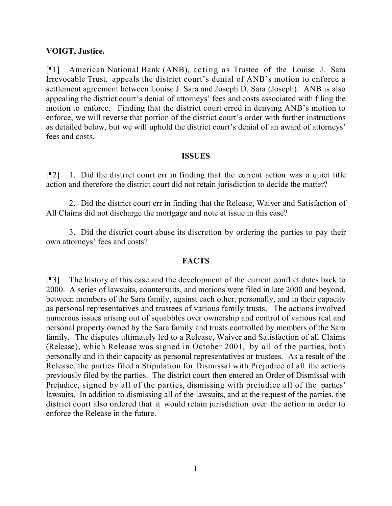### **VOIGT, Justice.**

[¶1] American National Bank (ANB), acting as Trustee of the Louise J. Sara Irrevocable Trust, appeals the district court's denial of ANB's motion to enforce a settlement agreement between Louise J. Sara and Joseph D. Sara (Joseph). ANB is also appealing the district court's denial of attorneys' fees and costs associated with filing the motion to enforce. Finding that the district court erred in denying ANB's motion to enforce, we will reverse that portion of the district court's order with further instructions as detailed below, but we will uphold the district court's denial of an award of attorneys' fees and costs.

#### **ISSUES**

[¶2] 1. Did the district court err in finding that the current action was a quiet title action and therefore the district court did not retain jurisdiction to decide the matter?

2. Did the district court err in finding that the Release, Waiver and Satisfaction of All Claims did not discharge the mortgage and note at issue in this case?

3. Did the district court abuse its discretion by ordering the parties to pay their own attorneys' fees and costs?

#### **FACTS**

[¶3] The history of this case and the development of the current conflict dates back to 2000. A series of lawsuits, countersuits, and motions were filed in late 2000 and beyond, between members of the Sara family, against each other, personally, and in their capacity as personal representatives and trustees of various family trusts. The actions involved numerous issues arising out of squabbles over ownership and control of various real and personal property owned by the Sara family and trusts controlled by members of the Sara family. The disputes ultimately led to a Release, Waiver and Satisfaction of all Claims (Release), which Release was signed in October 2001, by all of the parties, both personally and in their capacity as personal representatives or trustees. As a result of the Release, the parties filed a Stipulation for Dismissal with Prejudice of all the actions previously filed by the parties. The district court then entered an Order of Dismissal with Prejudice, signed by all of the parties, dismissing with prejudice all of the parties' lawsuits. In addition to dismissing all of the lawsuits, and at the request of the parties, the district court also ordered that it would retain jurisdiction over the action in order to enforce the Release in the future.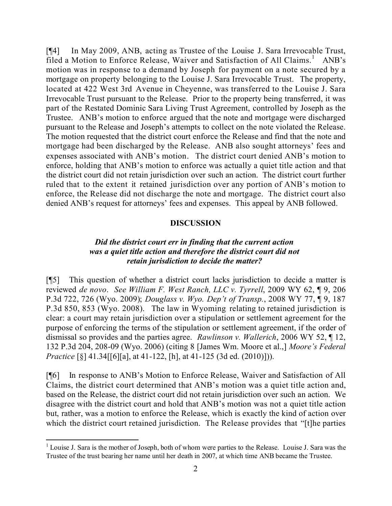[¶4] In May 2009, ANB, acting as Trustee of the Louise J. Sara Irrevocable Trust, filed a Motion to Enforce Release, Waiver and Satisfaction of All Claims.<sup>1</sup> ANB's motion was in response to a demand by Joseph for payment on a note secured by a mortgage on property belonging to the Louise J. Sara Irrevocable Trust. The property, located at 422 West 3rd Avenue in Cheyenne, was transferred to the Louise J. Sara Irrevocable Trust pursuant to the Release. Prior to the property being transferred, it was part of the Restated Dominic Sara Living Trust Agreement, controlled by Joseph as the Trustee. ANB's motion to enforce argued that the note and mortgage were discharged pursuant to the Release and Joseph's attempts to collect on the note violated the Release. The motion requested that the district court enforce the Release and find that the note and mortgage had been discharged by the Release. ANB also sought attorneys' fees and expenses associated with ANB's motion. The district court denied ANB's motion to enforce, holding that ANB's motion to enforce was actually a quiet title action and that the district court did not retain jurisdiction over such an action. The district court further ruled that to the extent it retained jurisdiction over any portion of ANB's motion to enforce, the Release did not discharge the note and mortgage. The district court also denied ANB's request for attorneys' fees and expenses. This appeal by ANB followed.

#### **DISCUSSION**

#### *Did the district court err in finding that the current action was a quiet title action and therefore the district court did not retain jurisdiction to decide the matter?*

[¶5] This question of whether a district court lacks jurisdiction to decide a matter is reviewed *de novo*. *See William F. West Ranch, LLC v. Tyrrell*, 2009 WY 62, ¶ 9, 206 P.3d 722, 726 (Wyo. 2009); *Douglass v. Wyo. Dep't of Transp.*, 2008 WY 77, ¶ 9, 187 P.3d 850, 853 (Wyo. 2008). The law in Wyoming relating to retained jurisdiction is clear: a court may retain jurisdiction over a stipulation or settlement agreement for the purpose of enforcing the terms of the stipulation or settlement agreement, if the order of dismissal so provides and the parties agree. *Rawlinson v. Wallerich*, 2006 WY 52, ¶ 12, 132 P.3d 204, 208-09 (Wyo. 2006) (citing 8 [James Wm. Moore et al.,] *Moore's Federal Practice* [§] 41.34[[6][a], at 41-122, [h], at 41-125 (3d ed. (2010)])).

[¶6] In response to ANB's Motion to Enforce Release, Waiver and Satisfaction of All Claims, the district court determined that ANB's motion was a quiet title action and, based on the Release, the district court did not retain jurisdiction over such an action. We disagree with the district court and hold that ANB's motion was not a quiet title action but, rather, was a motion to enforce the Release, which is exactly the kind of action over which the district court retained jurisdiction. The Release provides that "[t]he parties

l

<sup>&</sup>lt;sup>1</sup> Louise J. Sara is the mother of Joseph, both of whom were parties to the Release. Louise J. Sara was the Trustee of the trust bearing her name until her death in 2007, at which time ANB became the Trustee.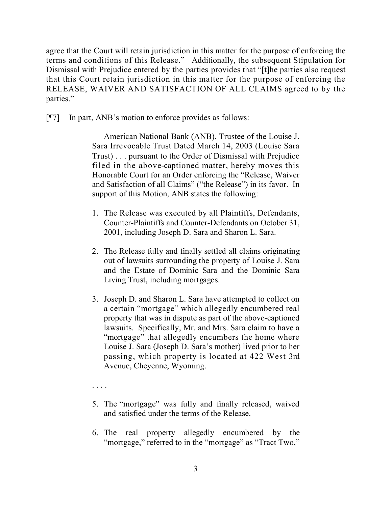agree that the Court will retain jurisdiction in this matter for the purpose of enforcing the terms and conditions of this Release." Additionally, the subsequent Stipulation for Dismissal with Prejudice entered by the parties provides that "[t]he parties also request that this Court retain jurisdiction in this matter for the purpose of enforcing the RELEASE, WAIVER AND SATISFACTION OF ALL CLAIMS agreed to by the parties."

[¶7] In part, ANB's motion to enforce provides as follows:

American National Bank (ANB), Trustee of the Louise J. Sara Irrevocable Trust Dated March 14, 2003 (Louise Sara Trust) . . . pursuant to the Order of Dismissal with Prejudice filed in the above-captioned matter, hereby moves this Honorable Court for an Order enforcing the "Release, Waiver and Satisfaction of all Claims" ("the Release") in its favor. In support of this Motion, ANB states the following:

- 1. The Release was executed by all Plaintiffs, Defendants, Counter-Plaintiffs and Counter-Defendants on October 31, 2001, including Joseph D. Sara and Sharon L. Sara.
- 2. The Release fully and finally settled all claims originating out of lawsuits surrounding the property of Louise J. Sara and the Estate of Dominic Sara and the Dominic Sara Living Trust, including mortgages.
- 3. Joseph D. and Sharon L. Sara have attempted to collect on a certain "mortgage" which allegedly encumbered real property that was in dispute as part of the above-captioned lawsuits. Specifically, Mr. and Mrs. Sara claim to have a "mortgage" that allegedly encumbers the home where Louise J. Sara (Joseph D. Sara's mother) lived prior to her passing, which property is located at 422 West 3rd Avenue, Cheyenne, Wyoming.
- . . . .
- 5. The "mortgage" was fully and finally released, waived and satisfied under the terms of the Release.
- 6. The real property allegedly encumbered by the "mortgage," referred to in the "mortgage" as "Tract Two,"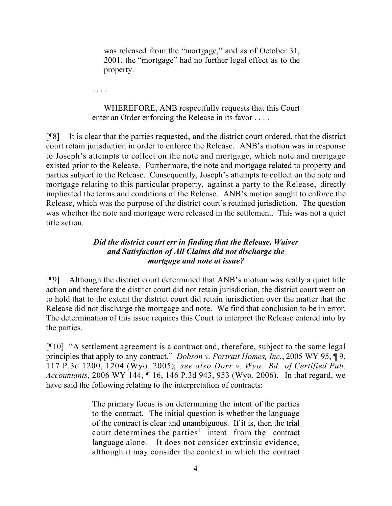was released from the "mortgage," and as of October 31, 2001, the "mortgage" had no further legal effect as to the property.

. . . .

WHEREFORE, ANB respectfully requests that this Court enter an Order enforcing the Release in its favor . . . .

[¶8] It is clear that the parties requested, and the district court ordered, that the district court retain jurisdiction in order to enforce the Release. ANB's motion was in response to Joseph's attempts to collect on the note and mortgage, which note and mortgage existed prior to the Release. Furthermore, the note and mortgage related to property and parties subject to the Release. Consequently, Joseph's attempts to collect on the note and mortgage relating to this particular property, against a party to the Release, directly implicated the terms and conditions of the Release. ANB's motion sought to enforce the Release, which was the purpose of the district court's retained jurisdiction. The question was whether the note and mortgage were released in the settlement. This was not a quiet title action.

### *Did the district court err in finding that the Release, Waiver and Satisfaction of All Claims did not discharge the mortgage and note at issue?*

[¶9] Although the district court determined that ANB's motion was really a quiet title action and therefore the district court did not retain jurisdiction, the district court went on to hold that to the extent the district court did retain jurisdiction over the matter that the Release did not discharge the mortgage and note. We find that conclusion to be in error. The determination of this issue requires this Court to interpret the Release entered into by the parties.

[¶10] "A settlement agreement is a contract and, therefore, subject to the same legal principles that apply to any contract." *Dobson v. Portrait Homes, Inc.*, 2005 WY 95, ¶ 9, 117 P.3d 1200, 1204 (Wyo. 2005); *see also Dorr v. Wyo. Bd. of Certified Pub. Accountants*, 2006 WY 144, ¶ 16, 146 P.3d 943, 953 (Wyo. 2006). In that regard, we have said the following relating to the interpretation of contracts:

> The primary focus is on determining the intent of the parties to the contract. The initial question is whether the language of the contract is clear and unambiguous. If it is, then the trial court determines the parties' intent from the contract language alone. It does not consider extrinsic evidence, although it may consider the context in which the contract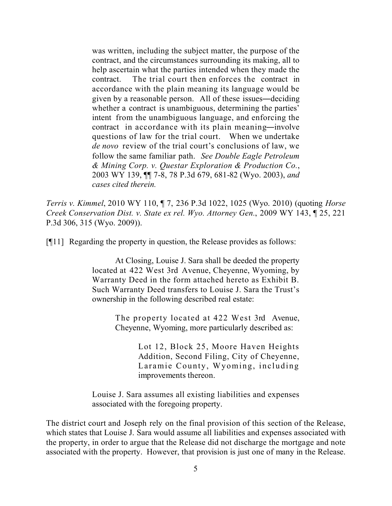was written, including the subject matter, the purpose of the contract, and the circumstances surrounding its making, all to help ascertain what the parties intended when they made the contract. The trial court then enforces the contract in accordance with the plain meaning its language would be given by a reasonable person. All of these issues―deciding whether a contract is unambiguous, determining the parties' intent from the unambiguous language, and enforcing the contract in accordance with its plain meaning―involve questions of law for the trial court. When we undertake *de novo* review of the trial court's conclusions of law, we follow the same familiar path. *See Double Eagle Petroleum & Mining Corp. v. Questar Exploration & Production Co.*, 2003 WY 139, ¶¶ 7-8, 78 P.3d 679, 681-82 (Wyo. 2003), *and cases cited therein.*

*Terris v. Kimmel*, 2010 WY 110, ¶ 7, 236 P.3d 1022, 1025 (Wyo. 2010) (quoting *Horse Creek Conservation Dist. v. State ex rel. Wyo. Attorney Gen.*, 2009 WY 143, ¶ 25, 221 P.3d 306, 315 (Wyo. 2009)).

[¶11] Regarding the property in question, the Release provides as follows:

At Closing, Louise J. Sara shall be deeded the property located at 422 West 3rd Avenue, Cheyenne, Wyoming, by Warranty Deed in the form attached hereto as Exhibit B. Such Warranty Deed transfers to Louise J. Sara the Trust's ownership in the following described real estate:

> The property located at 422 West 3rd Avenue, Cheyenne, Wyoming, more particularly described as:

> > Lot 12, Block 25, Moore Haven Heights Addition, Second Filing, City of Cheyenne, Laramie County, Wyoming, including improvements thereon.

Louise J. Sara assumes all existing liabilities and expenses associated with the foregoing property.

The district court and Joseph rely on the final provision of this section of the Release, which states that Louise J. Sara would assume all liabilities and expenses associated with the property, in order to argue that the Release did not discharge the mortgage and note associated with the property. However, that provision is just one of many in the Release.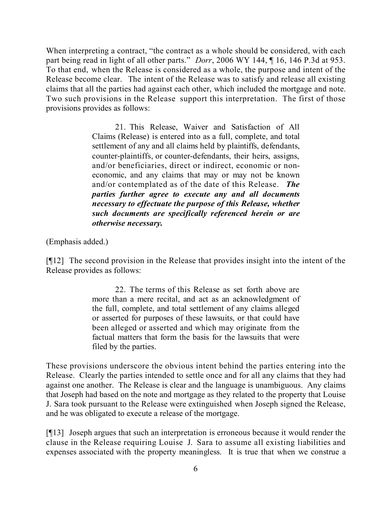When interpreting a contract, "the contract as a whole should be considered, with each part being read in light of all other parts." *Dorr*, 2006 WY 144, ¶ 16, 146 P.3d at 953. To that end, when the Release is considered as a whole, the purpose and intent of the Release become clear. The intent of the Release was to satisfy and release all existing claims that all the parties had against each other, which included the mortgage and note. Two such provisions in the Release support this interpretation. The first of those provisions provides as follows:

> 21. This Release, Waiver and Satisfaction of All Claims (Release) is entered into as a full, complete, and total settlement of any and all claims held by plaintiffs, defendants, counter-plaintiffs, or counter-defendants, their heirs, assigns, and/or beneficiaries, direct or indirect, economic or noneconomic, and any claims that may or may not be known and/or contemplated as of the date of this Release. *The parties further agree to execute any and all documents necessary to effectuate the purpose of this Release, whether such documents are specifically referenced herein or are otherwise necessary.*

(Emphasis added.)

[¶12] The second provision in the Release that provides insight into the intent of the Release provides as follows:

> 22. The terms of this Release as set forth above are more than a mere recital, and act as an acknowledgment of the full, complete, and total settlement of any claims alleged or asserted for purposes of these lawsuits, or that could have been alleged or asserted and which may originate from the factual matters that form the basis for the lawsuits that were filed by the parties.

These provisions underscore the obvious intent behind the parties entering into the Release. Clearly the parties intended to settle once and for all any claims that they had against one another. The Release is clear and the language is unambiguous. Any claims that Joseph had based on the note and mortgage as they related to the property that Louise J. Sara took pursuant to the Release were extinguished when Joseph signed the Release, and he was obligated to execute a release of the mortgage.

[¶13] Joseph argues that such an interpretation is erroneous because it would render the clause in the Release requiring Louise J. Sara to assume all existing liabilities and expenses associated with the property meaningless. It is true that when we construe a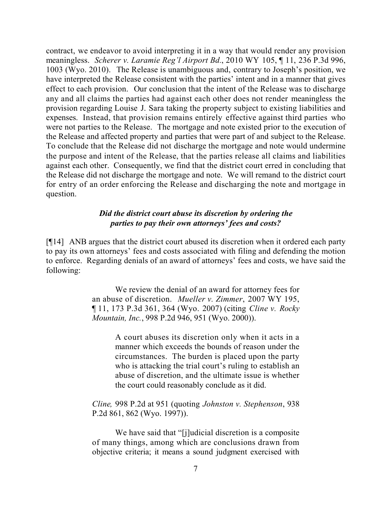contract, we endeavor to avoid interpreting it in a way that would render any provision meaningless. *Scherer v. Laramie Reg'l Airport Bd.*, 2010 WY 105, ¶ 11, 236 P.3d 996, 1003 (Wyo. 2010). The Release is unambiguous and, contrary to Joseph's position, we have interpreted the Release consistent with the parties' intent and in a manner that gives effect to each provision. Our conclusion that the intent of the Release was to discharge any and all claims the parties had against each other does not render meaningless the provision regarding Louise J. Sara taking the property subject to existing liabilities and expenses. Instead, that provision remains entirely effective against third parties who were not parties to the Release. The mortgage and note existed prior to the execution of the Release and affected property and parties that were part of and subject to the Release. To conclude that the Release did not discharge the mortgage and note would undermine the purpose and intent of the Release, that the parties release all claims and liabilities against each other. Consequently, we find that the district court erred in concluding that the Release did not discharge the mortgage and note. We will remand to the district court for entry of an order enforcing the Release and discharging the note and mortgage in question.

## *Did the district court abuse its discretion by ordering the parties to pay their own attorneys' fees and costs?*

[¶14] ANB argues that the district court abused its discretion when it ordered each party to pay its own attorneys' fees and costs associated with filing and defending the motion to enforce. Regarding denials of an award of attorneys' fees and costs, we have said the following:

> We review the denial of an award for attorney fees for an abuse of discretion. *Mueller v. Zimmer*, 2007 WY 195, ¶ 11, 173 P.3d 361, 364 (Wyo. 2007) (citing *Cline v. Rocky Mountain, Inc.*, 998 P.2d 946, 951 (Wyo. 2000)).

> > A court abuses its discretion only when it acts in a manner which exceeds the bounds of reason under the circumstances. The burden is placed upon the party who is attacking the trial court's ruling to establish an abuse of discretion, and the ultimate issue is whether the court could reasonably conclude as it did.

*Cline,* 998 P.2d at 951 (quoting *Johnston v. Stephenson*, 938 P.2d 861, 862 (Wyo. 1997)).

We have said that "[j]udicial discretion is a composite of many things, among which are conclusions drawn from objective criteria; it means a sound judgment exercised with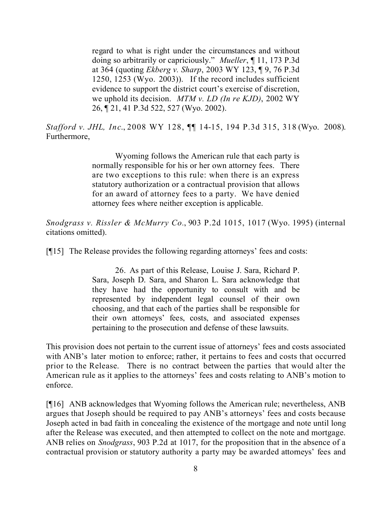regard to what is right under the circumstances and without doing so arbitrarily or capriciously." *Mueller*, ¶ 11, 173 P.3d at 364 (quoting *Ekberg v. Sharp*, 2003 WY 123, ¶ 9, 76 P.3d 1250, 1253 (Wyo. 2003)). If the record includes sufficient evidence to support the district court's exercise of discretion, we uphold its decision. *MTM v. LD (In re KJD)*, 2002 WY 26, ¶ 21, 41 P.3d 522, 527 (Wyo. 2002).

*Stafford v. JHL, Inc*., 2008 WY 128, ¶¶ 14-15, 194 P.3d 315, 318 (Wyo. 2008). Furthermore,

> Wyoming follows the American rule that each party is normally responsible for his or her own attorney fees. There are two exceptions to this rule: when there is an express statutory authorization or a contractual provision that allows for an award of attorney fees to a party. We have denied attorney fees where neither exception is applicable.

*Snodgrass v. Rissler & McMurry Co.*, 903 P.2d 1015, 1017 (Wyo. 1995) (internal citations omitted).

[¶15] The Release provides the following regarding attorneys' fees and costs:

26. As part of this Release, Louise J. Sara, Richard P. Sara, Joseph D. Sara, and Sharon L. Sara acknowledge that they have had the opportunity to consult with and be represented by independent legal counsel of their own choosing, and that each of the parties shall be responsible for their own attorneys' fees, costs, and associated expenses pertaining to the prosecution and defense of these lawsuits.

This provision does not pertain to the current issue of attorneys' fees and costs associated with ANB's later motion to enforce; rather, it pertains to fees and costs that occurred prior to the Release. There is no contract between the parties that would alter the American rule as it applies to the attorneys' fees and costs relating to ANB's motion to enforce.

[¶16] ANB acknowledges that Wyoming follows the American rule; nevertheless, ANB argues that Joseph should be required to pay ANB's attorneys' fees and costs because Joseph acted in bad faith in concealing the existence of the mortgage and note until long after the Release was executed, and then attempted to collect on the note and mortgage. ANB relies on *Snodgrass*, 903 P.2d at 1017, for the proposition that in the absence of a contractual provision or statutory authority a party may be awarded attorneys' fees and